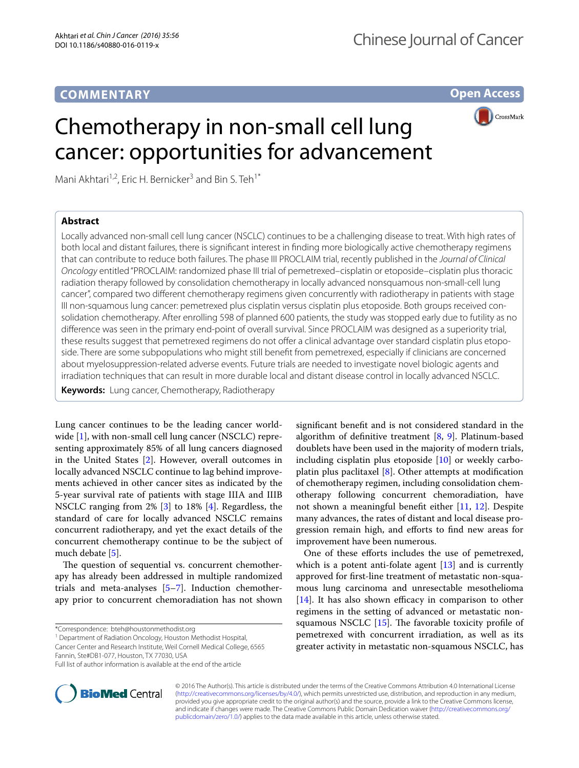## **COMMENTARY**

**Open Access**

# Chemotherapy in non-small cell lung cancer: opportunities for advancement

Mani Akhtari<sup>1,2</sup>, Eric H. Bernicker<sup>3</sup> and Bin S. Teh<sup>1\*</sup>

### **Abstract**

**CrossMark** 

Locally advanced non-small cell lung cancer (NSCLC) continues to be a challenging disease to treat. With high rates of both local and distant failures, there is significant interest in finding more biologically active chemotherapy regimens that can contribute to reduce both failures. The phase III PROCLAIM trial, recently published in the *Journal of Clinical Oncology* entitled "PROCLAIM: randomized phase III trial of pemetrexed–cisplatin or etoposide–cisplatin plus thoracic radiation therapy followed by consolidation chemotherapy in locally advanced nonsquamous non-small-cell lung cancer", compared two different chemotherapy regimens given concurrently with radiotherapy in patients with stage III non-squamous lung cancer: pemetrexed plus cisplatin versus cisplatin plus etoposide. Both groups received consolidation chemotherapy. After enrolling 598 of planned 600 patients, the study was stopped early due to futility as no difference was seen in the primary end-point of overall survival. Since PROCLAIM was designed as a superiority trial, these results suggest that pemetrexed regimens do not offer a clinical advantage over standard cisplatin plus etoposide. There are some subpopulations who might still benefit from pemetrexed, especially if clinicians are concerned about myelosuppression-related adverse events. Future trials are needed to investigate novel biologic agents and irradiation techniques that can result in more durable local and distant disease control in locally advanced NSCLC.

**Keywords:** Lung cancer, Chemotherapy, Radiotherapy

Lung cancer continues to be the leading cancer world-wide [[1](#page-2-0)], with non-small cell lung cancer (NSCLC) representing approximately 85% of all lung cancers diagnosed in the United States [[2\]](#page-2-1). However, overall outcomes in locally advanced NSCLC continue to lag behind improvements achieved in other cancer sites as indicated by the 5-year survival rate of patients with stage IIIA and IIIB NSCLC ranging from 2% [\[3](#page-2-2)] to 18% [[4](#page-2-3)]. Regardless, the standard of care for locally advanced NSCLC remains concurrent radiotherapy, and yet the exact details of the concurrent chemotherapy continue to be the subject of much debate [[5](#page-2-4)].

The question of sequential vs. concurrent chemotherapy has already been addressed in multiple randomized trials and meta-analyses  $[5-7]$  $[5-7]$  $[5-7]$ . Induction chemotherapy prior to concurrent chemoradiation has not shown

<sup>1</sup> Department of Radiation Oncology, Houston Methodist Hospital,

Cancer Center and Research Institute, Weil Cornell Medical College, 6565 Fannin, Ste#DB1-077, Houston, TX 77030, USA



One of these efforts includes the use of pemetrexed, which is a potent anti-folate agent [[13\]](#page-2-11) and is currently approved for first-line treatment of metastatic non-squamous lung carcinoma and unresectable mesothelioma [[14\]](#page-2-12). It has also shown efficacy in comparison to other regimens in the setting of advanced or metastatic nonsquamous NSCLC [\[15](#page-2-13)]. The favorable toxicity profile of pemetrexed with concurrent irradiation, as well as its greater activity in metastatic non-squamous NSCLC, has



© 2016 The Author(s). This article is distributed under the terms of the Creative Commons Attribution 4.0 International License [\(http://creativecommons.org/licenses/by/4.0/\)](http://creativecommons.org/licenses/by/4.0/), which permits unrestricted use, distribution, and reproduction in any medium, provided you give appropriate credit to the original author(s) and the source, provide a link to the Creative Commons license, and indicate if changes were made. The Creative Commons Public Domain Dedication waiver ([http://creativecommons.org/](http://creativecommons.org/publicdomain/zero/1.0/) [publicdomain/zero/1.0/](http://creativecommons.org/publicdomain/zero/1.0/)) applies to the data made available in this article, unless otherwise stated.

<sup>\*</sup>Correspondence: bteh@houstonmethodist.org

Full list of author information is available at the end of the article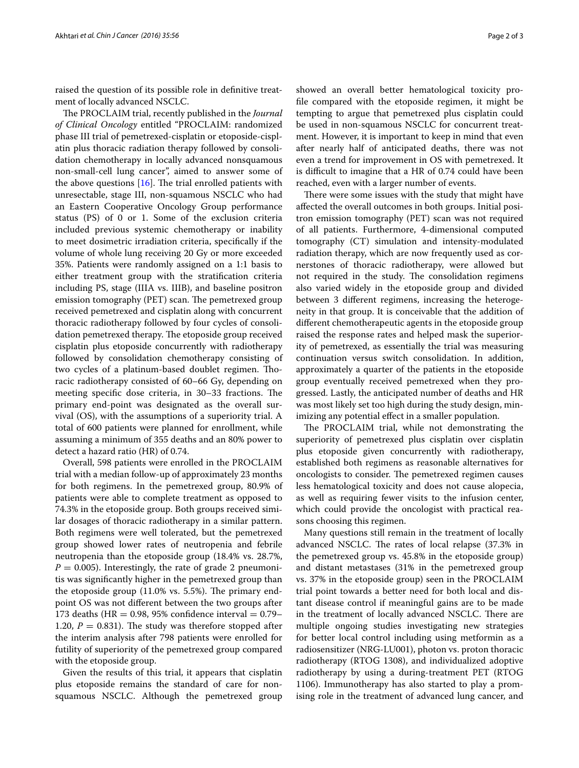raised the question of its possible role in definitive treatment of locally advanced NSCLC.

The PROCLAIM trial, recently published in the *Journal of Clinical Oncology* entitled "PROCLAIM: randomized phase III trial of pemetrexed-cisplatin or etoposide-cisplatin plus thoracic radiation therapy followed by consolidation chemotherapy in locally advanced nonsquamous non-small-cell lung cancer", aimed to answer some of the above questions  $[16]$  $[16]$ . The trial enrolled patients with unresectable, stage III, non-squamous NSCLC who had an Eastern Cooperative Oncology Group performance status (PS) of 0 or 1. Some of the exclusion criteria included previous systemic chemotherapy or inability to meet dosimetric irradiation criteria, specifically if the volume of whole lung receiving 20 Gy or more exceeded 35%. Patients were randomly assigned on a 1:1 basis to either treatment group with the stratification criteria including PS, stage (IIIA vs. IIIB), and baseline positron emission tomography (PET) scan. The pemetrexed group received pemetrexed and cisplatin along with concurrent thoracic radiotherapy followed by four cycles of consolidation pemetrexed therapy. The etoposide group received cisplatin plus etoposide concurrently with radiotherapy followed by consolidation chemotherapy consisting of two cycles of a platinum-based doublet regimen. Thoracic radiotherapy consisted of 60–66 Gy, depending on meeting specific dose criteria, in 30–33 fractions. The primary end-point was designated as the overall survival (OS), with the assumptions of a superiority trial. A total of 600 patients were planned for enrollment, while assuming a minimum of 355 deaths and an 80% power to detect a hazard ratio (HR) of 0.74.

Overall, 598 patients were enrolled in the PROCLAIM trial with a median follow-up of approximately 23 months for both regimens. In the pemetrexed group, 80.9% of patients were able to complete treatment as opposed to 74.3% in the etoposide group. Both groups received similar dosages of thoracic radiotherapy in a similar pattern. Both regimens were well tolerated, but the pemetrexed group showed lower rates of neutropenia and febrile neutropenia than the etoposide group (18.4% vs. 28.7%,  $P = 0.005$ ). Interestingly, the rate of grade 2 pneumonitis was significantly higher in the pemetrexed group than the etoposide group (11.0% vs. 5.5%). The primary endpoint OS was not different between the two groups after 173 deaths (HR = 0.98, 95% confidence interval =  $0.79-$ 1.20,  $P = 0.831$ ). The study was therefore stopped after the interim analysis after 798 patients were enrolled for futility of superiority of the pemetrexed group compared with the etoposide group.

Given the results of this trial, it appears that cisplatin plus etoposide remains the standard of care for nonsquamous NSCLC. Although the pemetrexed group

showed an overall better hematological toxicity profile compared with the etoposide regimen, it might be tempting to argue that pemetrexed plus cisplatin could be used in non-squamous NSCLC for concurrent treatment. However, it is important to keep in mind that even after nearly half of anticipated deaths, there was not even a trend for improvement in OS with pemetrexed. It is difficult to imagine that a HR of 0.74 could have been reached, even with a larger number of events.

There were some issues with the study that might have affected the overall outcomes in both groups. Initial positron emission tomography (PET) scan was not required of all patients. Furthermore, 4-dimensional computed tomography (CT) simulation and intensity-modulated radiation therapy, which are now frequently used as cornerstones of thoracic radiotherapy, were allowed but not required in the study. The consolidation regimens also varied widely in the etoposide group and divided between 3 different regimens, increasing the heterogeneity in that group. It is conceivable that the addition of different chemotherapeutic agents in the etoposide group raised the response rates and helped mask the superiority of pemetrexed, as essentially the trial was measuring continuation versus switch consolidation. In addition, approximately a quarter of the patients in the etoposide group eventually received pemetrexed when they progressed. Lastly, the anticipated number of deaths and HR was most likely set too high during the study design, minimizing any potential effect in a smaller population.

The PROCLAIM trial, while not demonstrating the superiority of pemetrexed plus cisplatin over cisplatin plus etoposide given concurrently with radiotherapy, established both regimens as reasonable alternatives for oncologists to consider. The pemetrexed regimen causes less hematological toxicity and does not cause alopecia, as well as requiring fewer visits to the infusion center, which could provide the oncologist with practical reasons choosing this regimen.

Many questions still remain in the treatment of locally advanced NSCLC. The rates of local relapse (37.3% in the pemetrexed group vs. 45.8% in the etoposide group) and distant metastases (31% in the pemetrexed group vs. 37% in the etoposide group) seen in the PROCLAIM trial point towards a better need for both local and distant disease control if meaningful gains are to be made in the treatment of locally advanced NSCLC. There are multiple ongoing studies investigating new strategies for better local control including using metformin as a radiosensitizer (NRG-LU001), photon vs. proton thoracic radiotherapy (RTOG 1308), and individualized adoptive radiotherapy by using a during-treatment PET (RTOG 1106). Immunotherapy has also started to play a promising role in the treatment of advanced lung cancer, and